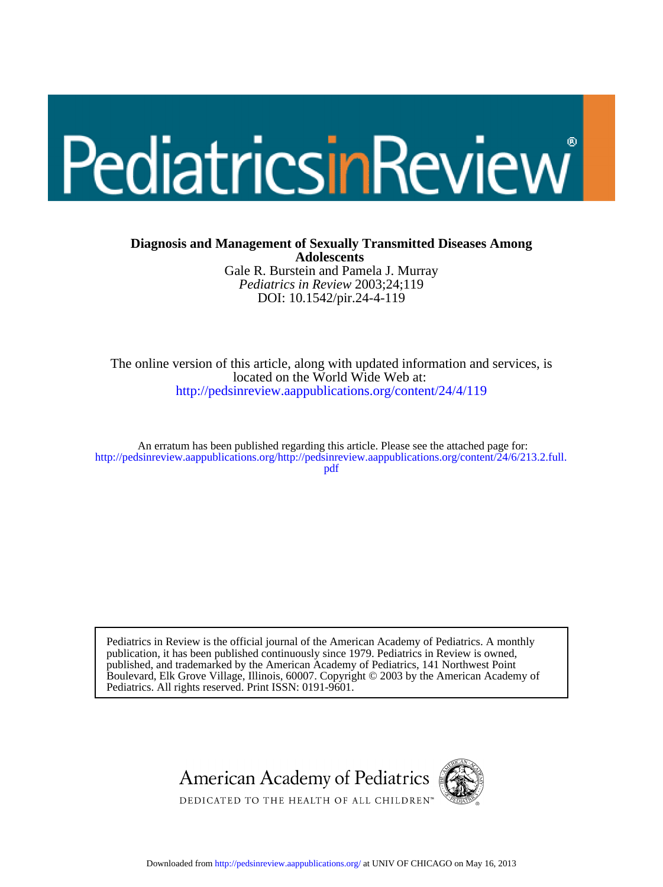# PediatricsinReview

#### DOI: 10.1542/pir.24-4-119 *Pediatrics in Review* 2003;24;119 Gale R. Burstein and Pamela J. Murray **Adolescents Diagnosis and Management of Sexually Transmitted Diseases Among**

<http://pedsinreview.aappublications.org/content/24/4/119> located on the World Wide Web at: The online version of this article, along with updated information and services, is

pdf http://pedsinreview.aappublications.org/http://pedsinreview.aappublications.org/content/24/6/213.2.full. An erratum has been published regarding this article. Please see the attached page for:

Pediatrics. All rights reserved. Print ISSN: 0191-9601. Boulevard, Elk Grove Village, Illinois, 60007. Copyright © 2003 by the American Academy of published, and trademarked by the American Academy of Pediatrics, 141 Northwest Point publication, it has been published continuously since 1979. Pediatrics in Review is owned, Pediatrics in Review is the official journal of the American Academy of Pediatrics. A monthly



Downloaded from<http://pedsinreview.aappublications.org/>at UNIV OF CHICAGO on May 16, 2013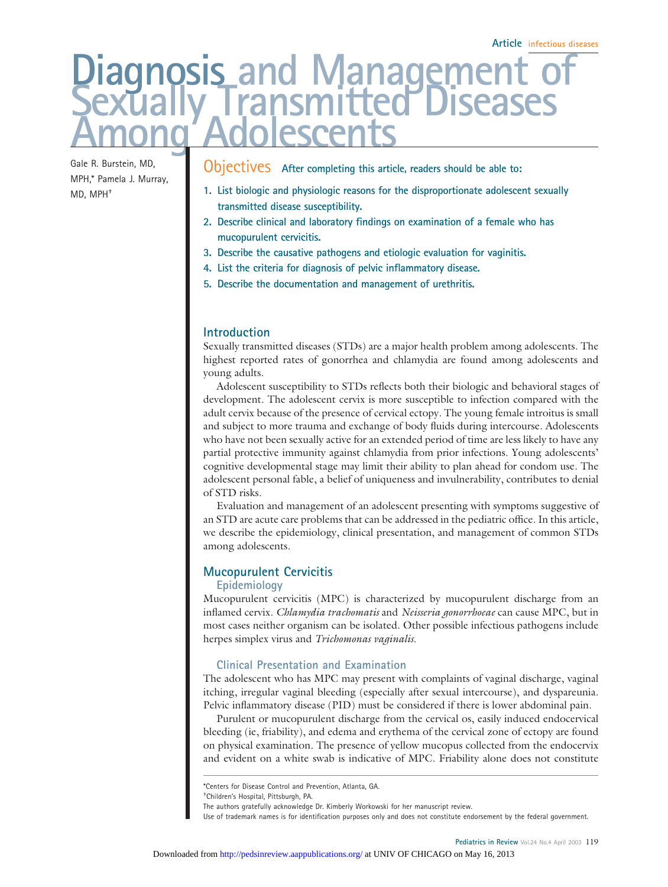## **Diagnosis and Management of Sexually Transmitted Diseases Among Adolescents**

Gale R. Burstein, MD, MPH,\* Pamela J. Murray, MD, MPH†

Objectives **After completing this article, readers should be able to:**

- **1. List biologic and physiologic reasons for the disproportionate adolescent sexually transmitted disease susceptibility.**
- **2. Describe clinical and laboratory findings on examination of a female who has mucopurulent cervicitis.**
- **3. Describe the causative pathogens and etiologic evaluation for vaginitis.**
- **4. List the criteria for diagnosis of pelvic inflammatory disease.**
- **5. Describe the documentation and management of urethritis.**

#### **Introduction**

Sexually transmitted diseases (STDs) are a major health problem among adolescents. The highest reported rates of gonorrhea and chlamydia are found among adolescents and young adults.

Adolescent susceptibility to STDs reflects both their biologic and behavioral stages of development. The adolescent cervix is more susceptible to infection compared with the adult cervix because of the presence of cervical ectopy. The young female introitus is small and subject to more trauma and exchange of body fluids during intercourse. Adolescents who have not been sexually active for an extended period of time are less likely to have any partial protective immunity against chlamydia from prior infections. Young adolescents' cognitive developmental stage may limit their ability to plan ahead for condom use. The adolescent personal fable, a belief of uniqueness and invulnerability, contributes to denial of STD risks.

Evaluation and management of an adolescent presenting with symptoms suggestive of an STD are acute care problems that can be addressed in the pediatric office. In this article, we describe the epidemiology, clinical presentation, and management of common STDs among adolescents.

#### **Mucopurulent Cervicitis**

#### **Epidemiology**

Mucopurulent cervicitis (MPC) is characterized by mucopurulent discharge from an inflamed cervix. *Chlamydia trachomatis* and *Neisseria gonorrhoeae* can cause MPC, but in most cases neither organism can be isolated. Other possible infectious pathogens include herpes simplex virus and *Trichomonas vaginalis.*

#### **Clinical Presentation and Examination**

The adolescent who has MPC may present with complaints of vaginal discharge, vaginal itching, irregular vaginal bleeding (especially after sexual intercourse), and dyspareunia. Pelvic inflammatory disease (PID) must be considered if there is lower abdominal pain.

Purulent or mucopurulent discharge from the cervical os, easily induced endocervical bleeding (ie, friability), and edema and erythema of the cervical zone of ectopy are found on physical examination. The presence of yellow mucopus collected from the endocervix and evident on a white swab is indicative of MPC. Friability alone does not constitute

Use of trademark names is for identification purposes only and does not constitute endorsement by the federal government.

Pediatrics in Review Vol.24 No.4 April 2003 119

<sup>\*</sup>Centers for Disease Control and Prevention, Atlanta, GA.

<sup>†</sup> Children's Hospital, Pittsburgh, PA.

The authors gratefully acknowledge Dr. Kimberly Workowski for her manuscript review.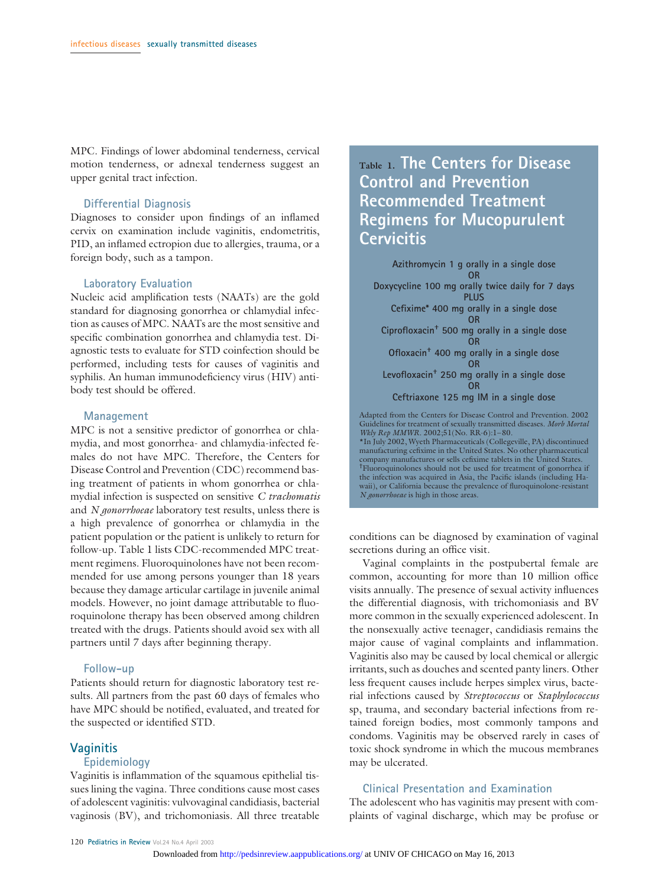MPC. Findings of lower abdominal tenderness, cervical motion tenderness, or adnexal tenderness suggest an upper genital tract infection.

#### **Differential Diagnosis**

Diagnoses to consider upon findings of an inflamed cervix on examination include vaginitis, endometritis, PID, an inflamed ectropion due to allergies, trauma, or a foreign body, such as a tampon.

#### **Laboratory Evaluation**

Nucleic acid amplification tests (NAATs) are the gold standard for diagnosing gonorrhea or chlamydial infection as causes of MPC. NAATs are the most sensitive and specific combination gonorrhea and chlamydia test. Diagnostic tests to evaluate for STD coinfection should be performed, including tests for causes of vaginitis and syphilis. An human immunodeficiency virus (HIV) antibody test should be offered.

#### **Management**

MPC is not a sensitive predictor of gonorrhea or chlamydia, and most gonorrhea- and chlamydia-infected females do not have MPC. Therefore, the Centers for Disease Control and Prevention (CDC) recommend basing treatment of patients in whom gonorrhea or chlamydial infection is suspected on sensitive *C trachomatis* and *N gonorrhoeae* laboratory test results, unless there is a high prevalence of gonorrhea or chlamydia in the patient population or the patient is unlikely to return for follow-up. Table 1 lists CDC-recommended MPC treatment regimens. Fluoroquinolones have not been recommended for use among persons younger than 18 years because they damage articular cartilage in juvenile animal models. However, no joint damage attributable to fluoroquinolone therapy has been observed among children treated with the drugs. Patients should avoid sex with all partners until 7 days after beginning therapy.

#### **Follow-up**

Patients should return for diagnostic laboratory test results. All partners from the past 60 days of females who have MPC should be notified, evaluated, and treated for the suspected or identified STD.

#### **Vaginitis**

#### **Epidemiology**

Vaginitis is inflammation of the squamous epithelial tissues lining the vagina. Three conditions cause most cases of adolescent vaginitis: vulvovaginal candidiasis, bacterial vaginosis (BV), and trichomoniasis. All three treatable

**Table 1. The Centers for Disease Control and Prevention Recommended Treatment Regimens for Mucopurulent Cervicitis**

**Azithromycin 1 g orally in a single dose OR Doxycycline 100 mg orally twice daily for 7 days PLUS Cefixime\* 400 mg orally in a single dose OR Ciprofloxacin† 500 mg orally in a single dose OR Ofloxacin† 400 mg orally in a single dose OR Levofloxacin† 250 mg orally in a single dose OR Ceftriaxone 125 mg IM in a single dose** Adapted from the Centers for Disease Control and Prevention. 2002 Guidelines for treatment of sexually transmitted diseases. *Morb Mortal Wkly Rep MMWR.* 2002;51(No. RR-6):1–80. \*In July 2002, Wyeth Pharmaceuticals (Collegeville, PA) discontinued manufacturing cefixime in the United States. No other pharmaceutical

company manufactures or sells cefixime tablets in the United States. Fluoroquinolones should not be used for treatment of gonorrhea if the infection was acquired in Asia, the Pacific islands (including Hawaii), or California because the prevalence of fluroquinolone-resistant *N gonorrhoeae* is high in those areas.

conditions can be diagnosed by examination of vaginal secretions during an office visit.

Vaginal complaints in the postpubertal female are common, accounting for more than 10 million office visits annually. The presence of sexual activity influences the differential diagnosis, with trichomoniasis and BV more common in the sexually experienced adolescent. In the nonsexually active teenager, candidiasis remains the major cause of vaginal complaints and inflammation. Vaginitis also may be caused by local chemical or allergic irritants, such as douches and scented panty liners. Other less frequent causes include herpes simplex virus, bacterial infections caused by *Streptococcus* or *Staphylococcus* sp, trauma, and secondary bacterial infections from retained foreign bodies, most commonly tampons and condoms. Vaginitis may be observed rarely in cases of toxic shock syndrome in which the mucous membranes may be ulcerated.

#### **Clinical Presentation and Examination**

The adolescent who has vaginitis may present with complaints of vaginal discharge, which may be profuse or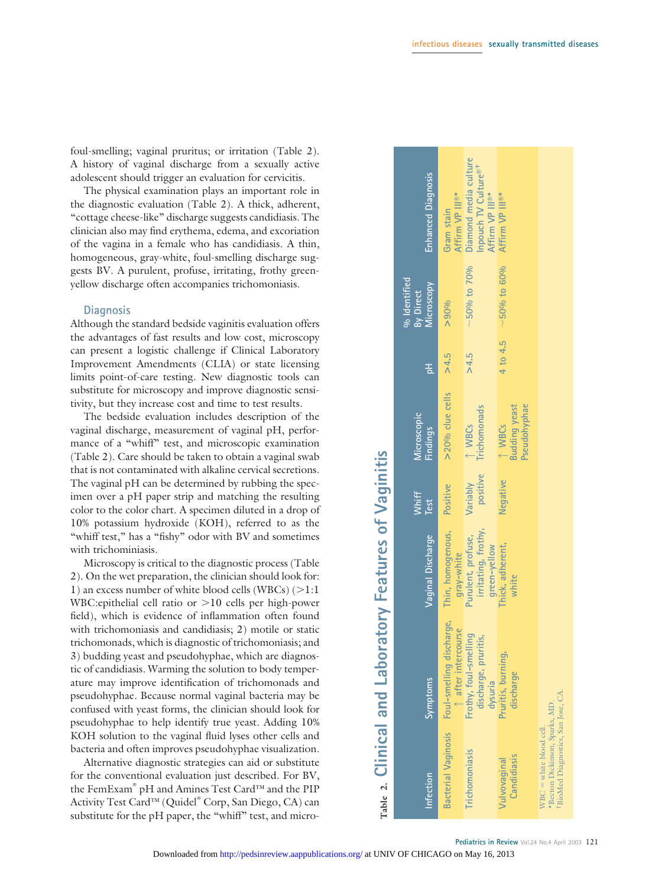foul-smelling; vaginal pruritus; or irritation (Table 2). A history of vaginal discharge from a sexually active adolescent should trigger an evaluation for cervicitis.

The physical examination plays an important role in the diagnostic evaluation (Table 2). A thick, adherent, "cottage cheese-like" discharge suggests candidiasis. The clinician also may find erythema, edema, and excoriation of the vagina in a female who has candidiasis. A thin, homogeneous, gray-white, foul-smelling discharge suggests BV. A purulent, profuse, irritating, frothy greenyellow discharge often accompanies trichomoniasis.

#### **Diagnosis**

Although the standard bedside vaginitis evaluation offers the advantages of fast results and low cost, microscopy can present a logistic challenge if Clinical Laboratory Improvement Amendments (CLIA) or state licensing limits point-of-care testing. New diagnostic tools can substitute for microscopy and improve diagnostic sensitivity, but they increase cost and time to test results.

The bedside evaluation includes description of the vaginal discharge, measurement of vaginal pH, performance of a "whiff" test, and microscopic examination (Table 2). Care should be taken to obtain a vaginal swab that is not contaminated with alkaline cervical secretions. The vaginal pH can be determined by rubbing the specimen over a pH paper strip and matching the resulting color to the color chart. A specimen diluted in a drop of 10% potassium hydroxide (KOH), referred to as the "whiff test," has a "fishy" odor with BV and sometimes with trichominiasis.

Microscopy is critical to the diagnostic process (Table 2). On the wet preparation, the clinician should look for: 1) an excess number of white blood cells (WBCs)  $(>1:1)$ WBC: epithelial cell ratio or  $>10$  cells per high-power field), which is evidence of inflammation often found with trichomoniasis and candidiasis; 2) motile or static trichomonads, which is diagnostic of trichomoniasis; and 3) budding yeast and pseudohyphae, which are diagnostic of candidiasis. Warming the solution to body temperature may improve identification of trichomonads and pseudohyphae. Because normal vaginal bacteria may be confused with yeast forms, the clinician should look for pseudohyphae to help identify true yeast. Adding 10% KOH solution to the vaginal fluid lyses other cells and bacteria and often improves pseudohyphae visualization.

Alternative diagnostic strategies can aid or substitute for the conventional evaluation just described. For BV, the FemExam® pH and Amines Test Card™ and the PIP Activity Test Card™ (Quidel® Corp, San Diego, CA) can substitute for the pH paper, the "whiff" test, and micro-

|                                                        | <b>Enhanced Diagnosis</b>                      | Affirm VP III <sup>®*</sup><br>Gram stain       | Diamond media culture<br>Inpouch TV Culture® <sup>+</sup><br>Affirm VP III®* | Affirm VP III®*                                |                                                                                                 |
|--------------------------------------------------------|------------------------------------------------|-------------------------------------------------|------------------------------------------------------------------------------|------------------------------------------------|-------------------------------------------------------------------------------------------------|
|                                                        | % Identified<br><b>Microscopy</b><br>By Direct | > 90%                                           | $\sim$ 50% to 70%                                                            | 4 to 4.5 $\sim$ 50% to 60%                     |                                                                                                 |
| Table 2. Clinical and Laboratory Features of Vaginitis | $\frac{1}{\alpha}$                             | >4.5                                            | >4.5                                                                         |                                                |                                                                                                 |
|                                                        | <b>Microscopic</b><br>Findings                 | >20% clue cells                                 | Trichomonads<br><b>WBCs</b>                                                  | Pseudohyphae<br><b>Budding yeast</b><br>↑ WBCs |                                                                                                 |
|                                                        | Whiff<br><b>Test</b>                           | Positive                                        | positive<br>Variably                                                         | Negative                                       |                                                                                                 |
|                                                        | Vaginal Discharge                              | Thin, homogenous,<br>gray-white                 | Purulent, profuse,<br>irritating, frothy,<br>green-yellow                    | Thick, adherent,<br>white                      |                                                                                                 |
|                                                        | Symptoms                                       | Foul-smelling discharge,<br>↑ after intercourse | Frothy, foul-smelling<br>discharge, pruritis,<br>dysuria                     | Pruritis, burning,<br>discharge                |                                                                                                 |
|                                                        | Infection                                      | <b>Bacterial Vaginosis</b>                      | Trichomoniasis                                                               | Candidiasis<br>Vulvovaginal                    | 'BioMed Diagnostics, San Jose, CA.<br>Becton Dickinson, Sparks, MD<br>$WBC = white blood cell.$ |

 $\mathbf{C}$ L ݝ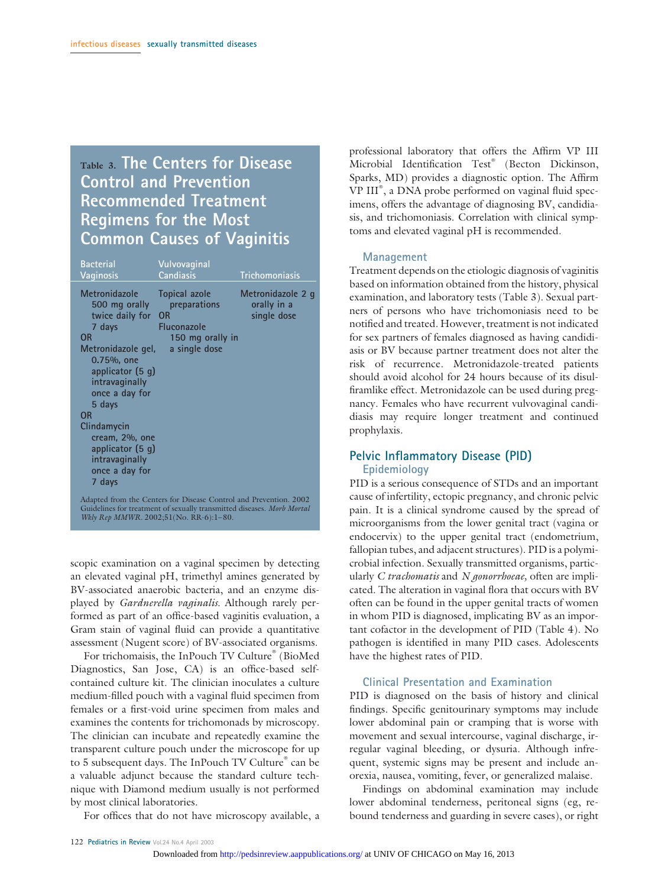## **Table 3. The Centers for Disease Control and Prevention Recommended Treatment Regimens for the Most Common Causes of Vaginitis**

| <b>Bacterial</b>                                                                                                                                                                                                                                                                 | Vulvovaginal                                                                                                 |                                                 |  |  |
|----------------------------------------------------------------------------------------------------------------------------------------------------------------------------------------------------------------------------------------------------------------------------------|--------------------------------------------------------------------------------------------------------------|-------------------------------------------------|--|--|
| Vaginosis                                                                                                                                                                                                                                                                        | Candiasis                                                                                                    | <b>Trichomoniasis</b>                           |  |  |
| Metronidazole<br>500 mg orally<br>twice daily for<br>7 days<br>0R<br>Metronidazole gel,<br>0.75%, one<br>applicator (5 q)<br>intravaginally<br>once a day for<br>5 days<br>0R<br>Clindamycin<br>cream, 2%, one<br>applicator (5 q)<br>intravaginally<br>once a day for<br>7 days | <b>Topical azole</b><br>preparations<br><b>OR</b><br><b>Fluconazole</b><br>150 mg orally in<br>a single dose | Metronidazole 2 q<br>orally in a<br>single dose |  |  |
| Adapted from the Centers for Disease Control and Prevention. 2002<br>Guidelines for treatment of sexually transmitted diseases. Morb Mortal<br>Wkly Rep MMWR. 2002;51(No. RR-6):1-80.                                                                                            |                                                                                                              |                                                 |  |  |

scopic examination on a vaginal specimen by detecting an elevated vaginal pH, trimethyl amines generated by BV-associated anaerobic bacteria, and an enzyme displayed by *Gardnerella vaginalis.* Although rarely performed as part of an office-based vaginitis evaluation, a Gram stain of vaginal fluid can provide a quantitative assessment (Nugent score) of BV-associated organisms.

For trichomaisis, the InPouch TV Culture® (BioMed Diagnostics, San Jose, CA) is an office-based selfcontained culture kit. The clinician inoculates a culture medium-filled pouch with a vaginal fluid specimen from females or a first-void urine specimen from males and examines the contents for trichomonads by microscopy. The clinician can incubate and repeatedly examine the transparent culture pouch under the microscope for up to 5 subsequent days. The InPouch TV Culture® can be a valuable adjunct because the standard culture technique with Diamond medium usually is not performed by most clinical laboratories.

For offices that do not have microscopy available, a

professional laboratory that offers the Affirm VP III Microbial Identification Test® (Becton Dickinson, Sparks, MD) provides a diagnostic option. The Affirm VP III , a DNA probe performed on vaginal fluid specimens, offers the advantage of diagnosing BV, candidiasis, and trichomoniasis. Correlation with clinical symptoms and elevated vaginal pH is recommended.

#### **Management**

Treatment depends on the etiologic diagnosis of vaginitis based on information obtained from the history, physical examination, and laboratory tests (Table 3). Sexual partners of persons who have trichomoniasis need to be notified and treated. However, treatment is not indicated for sex partners of females diagnosed as having candidiasis or BV because partner treatment does not alter the risk of recurrence. Metronidazole-treated patients should avoid alcohol for 24 hours because of its disulfiramlike effect. Metronidazole can be used during pregnancy. Females who have recurrent vulvovaginal candidiasis may require longer treatment and continued prophylaxis.

#### **Pelvic Inflammatory Disease (PID) Epidemiology**

PID is a serious consequence of STDs and an important cause of infertility, ectopic pregnancy, and chronic pelvic pain. It is a clinical syndrome caused by the spread of microorganisms from the lower genital tract (vagina or endocervix) to the upper genital tract (endometrium, fallopian tubes, and adjacent structures). PID is a polymicrobial infection. Sexually transmitted organisms, particularly *C trachomatis* and *N gonorrhoeae,* often are implicated. The alteration in vaginal flora that occurs with BV often can be found in the upper genital tracts of women in whom PID is diagnosed, implicating BV as an important cofactor in the development of PID (Table 4). No pathogen is identified in many PID cases. Adolescents have the highest rates of PID.

#### **Clinical Presentation and Examination**

PID is diagnosed on the basis of history and clinical findings. Specific genitourinary symptoms may include lower abdominal pain or cramping that is worse with movement and sexual intercourse, vaginal discharge, irregular vaginal bleeding, or dysuria. Although infrequent, systemic signs may be present and include anorexia, nausea, vomiting, fever, or generalized malaise.

Findings on abdominal examination may include lower abdominal tenderness, peritoneal signs (eg, rebound tenderness and guarding in severe cases), or right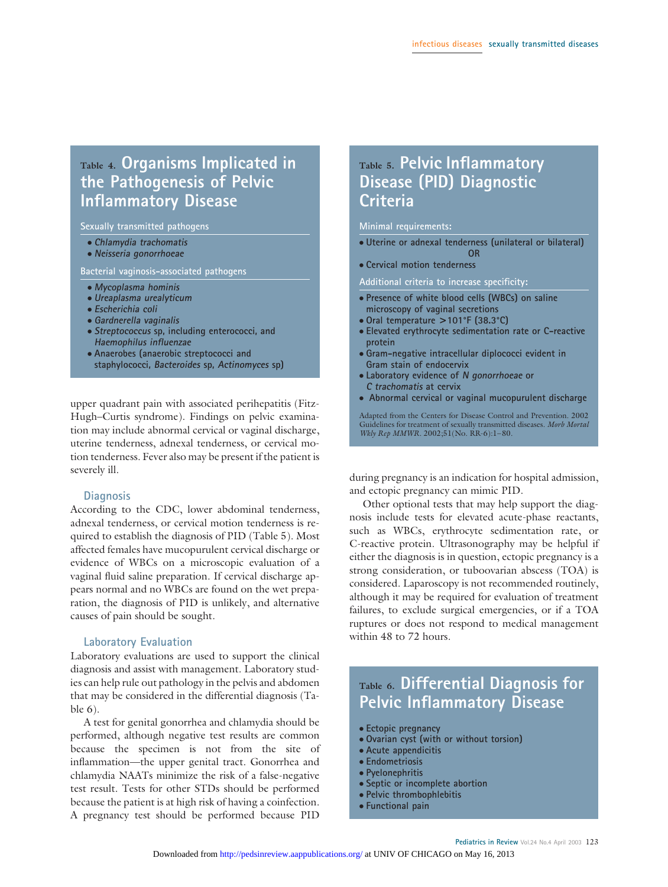## **Table 4. Organisms Implicated in the Pathogenesis of Pelvic Inflammatory Disease**

**Sexually transmitted pathogens**

- **Chlamydia trachomatis**
- **Neisseria gonorrhoeae**

**Bacterial vaginosis-associated pathogens**

- **Mycoplasma hominis**
- **Ureaplasma urealyticum**
- **Escherichia coli**
- **Gardnerella vaginalis**
- **Streptococcus sp, including enterococci, and Haemophilus influenzae**
- **Anaerobes (anaerobic streptococci and staphylococci, Bacteroides sp, Actinomyces sp)**

upper quadrant pain with associated perihepatitis (Fitz-Hugh–Curtis syndrome). Findings on pelvic examination may include abnormal cervical or vaginal discharge, uterine tenderness, adnexal tenderness, or cervical motion tenderness. Fever also may be present if the patient is severely ill.

#### **Diagnosis**

According to the CDC, lower abdominal tenderness, adnexal tenderness, or cervical motion tenderness is required to establish the diagnosis of PID (Table 5). Most affected females have mucopurulent cervical discharge or evidence of WBCs on a microscopic evaluation of a vaginal fluid saline preparation. If cervical discharge appears normal and no WBCs are found on the wet preparation, the diagnosis of PID is unlikely, and alternative causes of pain should be sought.

#### **Laboratory Evaluation**

Laboratory evaluations are used to support the clinical diagnosis and assist with management. Laboratory studies can help rule out pathology in the pelvis and abdomen that may be considered in the differential diagnosis (Table 6).

A test for genital gonorrhea and chlamydia should be performed, although negative test results are common because the specimen is not from the site of inflammation—the upper genital tract. Gonorrhea and chlamydia NAATs minimize the risk of a false-negative test result. Tests for other STDs should be performed because the patient is at high risk of having a coinfection. A pregnancy test should be performed because PID

## **Table 5. Pelvic Inflammatory Disease (PID) Diagnostic Criteria**

#### **Minimal requirements:**

- **Uterine or adnexal tenderness (unilateral or bilateral) OR**
- **Cervical motion tenderness**

**Additional criteria to increase specificity:**

- **Presence of white blood cells (WBCs) on saline microscopy of vaginal secretions**
- **Oral temperature >101°F (38.3°C)**
- **Elevated erythrocyte sedimentation rate or C-reactive protein**
- **Gram-negative intracellular diplococci evident in Gram stain of endocervix**
- **Laboratory evidence of <sup>N</sup> gonorrhoeae or C trachomatis at cervix**
- **Abnormal cervical or vaginal mucopurulent discharge**

Adapted from the Centers for Disease Control and Prevention. 2002 Guidelines for treatment of sexually transmitted diseases. *Morb Mortal Wkly Rep MMWR.* 2002;51(No. RR-6):1–80.

during pregnancy is an indication for hospital admission, and ectopic pregnancy can mimic PID.

Other optional tests that may help support the diagnosis include tests for elevated acute-phase reactants, such as WBCs, erythrocyte sedimentation rate, or C-reactive protein. Ultrasonography may be helpful if either the diagnosis is in question, ectopic pregnancy is a strong consideration, or tuboovarian abscess (TOA) is considered. Laparoscopy is not recommended routinely, although it may be required for evaluation of treatment failures, to exclude surgical emergencies, or if a TOA ruptures or does not respond to medical management within 48 to 72 hours.

## **Table 6. Differential Diagnosis for Pelvic Inflammatory Disease**

- **Ectopic pregnancy**
- **Ovarian cyst (with or without torsion)**
- **Acute appendicitis**
- **Endometriosis**
- **Pyelonephritis**
- **Septic or incomplete abortion** ● **Pelvic thrombophlebitis**
- **Functional pain**
- 

Pediatrics in Review Vol.24 No.4 April 2003 123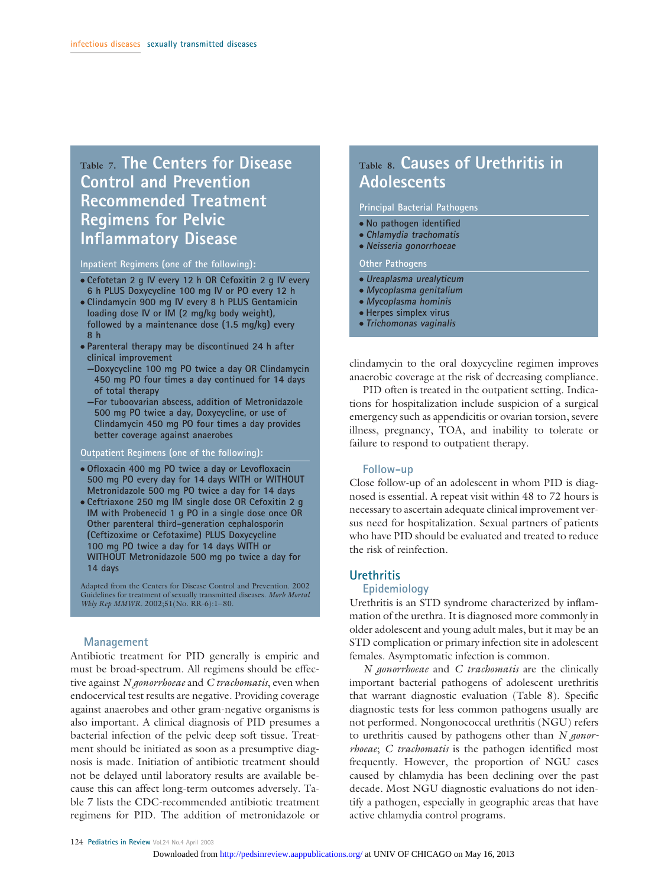## **Table 7. The Centers for Disease Control and Prevention Recommended Treatment Regimens for Pelvic Inflammatory Disease**

#### **Inpatient Regimens (one of the following):**

- **Cefotetan 2 g IV every 12 h OR Cefoxitin 2 g IV every 6 h PLUS Doxycycline 100 mg IV or PO every 12 h**
- **Clindamycin 900 mg IV every 8 h PLUS Gentamicin loading dose IV or IM (2 mg/kg body weight), followed by a maintenance dose (1.5 mg/kg) every 8 h**
- **Parenteral therapy may be discontinued 24 h after clinical improvement**
- **—Doxycycline 100 mg PO twice a day OR Clindamycin 450 mg PO four times a day continued for 14 days of total therapy**
- **—For tuboovarian abscess, addition of Metronidazole 500 mg PO twice a day, Doxycycline, or use of Clindamycin 450 mg PO four times a day provides better coverage against anaerobes**

**Outpatient Regimens (one of the following):**

- **Ofloxacin 400 mg PO twice a day or Levofloxacin 500 mg PO every day for 14 days WITH or WITHOUT Metronidazole 500 mg PO twice a day for 14 days**
- **Ceftriaxone 250 mg IM single dose OR Cefoxitin 2 g IM with Probenecid 1 g PO in a single dose once OR Other parenteral third-generation cephalosporin (Ceftizoxime or Cefotaxime) PLUS Doxycycline 100 mg PO twice a day for 14 days WITH or WITHOUT Metronidazole 500 mg po twice a day for 14 days**

Adapted from the Centers for Disease Control and Prevention. 2002 Guidelines for treatment of sexually transmitted diseases. *Morb Mortal Wkly Rep MMWR.* 2002;51(No. RR-6):1–80.

#### **Management**

Antibiotic treatment for PID generally is empiric and must be broad-spectrum. All regimens should be effective against *N gonorrhoeae* and *C trachomatis*, even when endocervical test results are negative. Providing coverage against anaerobes and other gram-negative organisms is also important. A clinical diagnosis of PID presumes a bacterial infection of the pelvic deep soft tissue. Treatment should be initiated as soon as a presumptive diagnosis is made. Initiation of antibiotic treatment should not be delayed until laboratory results are available because this can affect long-term outcomes adversely. Table 7 lists the CDC-recommended antibiotic treatment regimens for PID. The addition of metronidazole or

## **Table 8. Causes of Urethritis in Adolescents**

#### **Principal Bacterial Pathogens**

- **No pathogen identified**
- **Chlamydia trachomatis**
- **Neisseria gonorrhoeae**

#### **Other Pathogens**

- **Ureaplasma urealyticum**
- **Mycoplasma genitalium**
- **Mycoplasma hominis**
- **Herpes simplex virus**
- **Trichomonas vaginalis**

clindamycin to the oral doxycycline regimen improves anaerobic coverage at the risk of decreasing compliance.

PID often is treated in the outpatient setting. Indications for hospitalization include suspicion of a surgical emergency such as appendicitis or ovarian torsion, severe illness, pregnancy, TOA, and inability to tolerate or failure to respond to outpatient therapy.

#### **Follow-up**

Close follow-up of an adolescent in whom PID is diagnosed is essential. A repeat visit within 48 to 72 hours is necessary to ascertain adequate clinical improvement versus need for hospitalization. Sexual partners of patients who have PID should be evaluated and treated to reduce the risk of reinfection.

#### **Urethritis**

#### **Epidemiology**

Urethritis is an STD syndrome characterized by inflammation of the urethra. It is diagnosed more commonly in older adolescent and young adult males, but it may be an STD complication or primary infection site in adolescent females. Asymptomatic infection is common.

*N gonorrhoeae* and *C trachomatis* are the clinically important bacterial pathogens of adolescent urethritis that warrant diagnostic evaluation (Table 8). Specific diagnostic tests for less common pathogens usually are not performed. Nongonococcal urethritis (NGU) refers to urethritis caused by pathogens other than *N gonorrhoeae*; *C trachomatis* is the pathogen identified most frequently. However, the proportion of NGU cases caused by chlamydia has been declining over the past decade. Most NGU diagnostic evaluations do not identify a pathogen, especially in geographic areas that have active chlamydia control programs.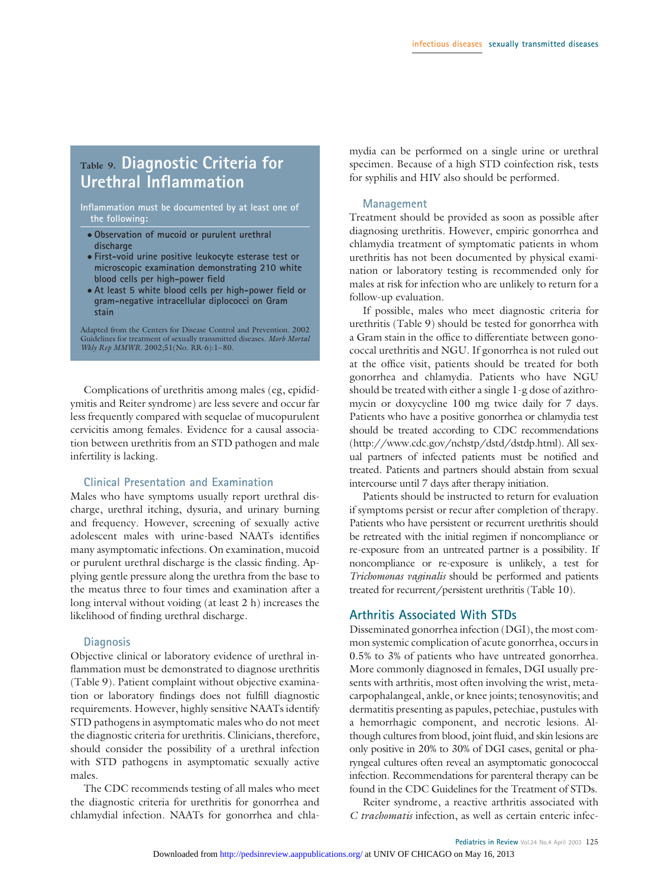## **Table 9. Diagnostic Criteria for Urethral Inflammation**

**Inflammation must be documented by at least one of the following:**

- **Observation of mucoid or purulent urethral discharge**
- **First-void urine positive leukocyte esterase test or microscopic examination demonstrating 210 white blood cells per high-power field**
- **At least 5 white blood cells per high-power field or gram-negative intracellular diplococci on Gram stain**

Adapted from the Centers for Disease Control and Prevention. 2002 Guidelines for treatment of sexually transmitted diseases. *Morb Mortal Wkly Rep MMWR.* 2002;51(No. RR-6):1–80.

Complications of urethritis among males (eg, epididymitis and Reiter syndrome) are less severe and occur far less frequently compared with sequelae of mucopurulent cervicitis among females. Evidence for a causal association between urethritis from an STD pathogen and male infertility is lacking.

#### **Clinical Presentation and Examination**

Males who have symptoms usually report urethral discharge, urethral itching, dysuria, and urinary burning and frequency. However, screening of sexually active adolescent males with urine-based NAATs identifies many asymptomatic infections. On examination, mucoid or purulent urethral discharge is the classic finding. Applying gentle pressure along the urethra from the base to the meatus three to four times and examination after a long interval without voiding (at least 2 h) increases the likelihood of finding urethral discharge.

#### **Diagnosis**

Objective clinical or laboratory evidence of urethral inflammation must be demonstrated to diagnose urethritis (Table 9). Patient complaint without objective examination or laboratory findings does not fulfill diagnostic requirements. However, highly sensitive NAATs identify STD pathogens in asymptomatic males who do not meet the diagnostic criteria for urethritis. Clinicians, therefore, should consider the possibility of a urethral infection with STD pathogens in asymptomatic sexually active males.

The CDC recommends testing of all males who meet the diagnostic criteria for urethritis for gonorrhea and chlamydial infection. NAATs for gonorrhea and chlamydia can be performed on a single urine or urethral specimen. Because of a high STD coinfection risk, tests for syphilis and HIV also should be performed.

#### **Management**

Treatment should be provided as soon as possible after diagnosing urethritis. However, empiric gonorrhea and chlamydia treatment of symptomatic patients in whom urethritis has not been documented by physical examination or laboratory testing is recommended only for males at risk for infection who are unlikely to return for a follow-up evaluation.

If possible, males who meet diagnostic criteria for urethritis (Table 9) should be tested for gonorrhea with a Gram stain in the office to differentiate between gonococcal urethritis and NGU. If gonorrhea is not ruled out at the office visit, patients should be treated for both gonorrhea and chlamydia. Patients who have NGU should be treated with either a single 1-g dose of azithromycin or doxycycline 100 mg twice daily for 7 days. Patients who have a positive gonorrhea or chlamydia test should be treated according to CDC recommendations (http://www.cdc.gov/nchstp/dstd/dstdp.html). All sexual partners of infected patients must be notified and treated. Patients and partners should abstain from sexual intercourse until 7 days after therapy initiation.

Patients should be instructed to return for evaluation if symptoms persist or recur after completion of therapy. Patients who have persistent or recurrent urethritis should be retreated with the initial regimen if noncompliance or re-exposure from an untreated partner is a possibility. If noncompliance or re-exposure is unlikely, a test for *Trichomonas vaginalis* should be performed and patients treated for recurrent/persistent urethritis (Table 10).

#### **Arthritis Associated With STDs**

Disseminated gonorrhea infection (DGI), the most common systemic complication of acute gonorrhea, occurs in 0.5% to 3% of patients who have untreated gonorrhea. More commonly diagnosed in females, DGI usually presents with arthritis, most often involving the wrist, metacarpophalangeal, ankle, or knee joints; tenosynovitis; and dermatitis presenting as papules, petechiae, pustules with a hemorrhagic component, and necrotic lesions. Although cultures from blood, joint fluid, and skin lesions are only positive in 20% to 30% of DGI cases, genital or pharyngeal cultures often reveal an asymptomatic gonococcal infection. Recommendations for parenteral therapy can be found in the CDC Guidelines for the Treatment of STDs.

Reiter syndrome, a reactive arthritis associated with *C trachomatis* infection, as well as certain enteric infec-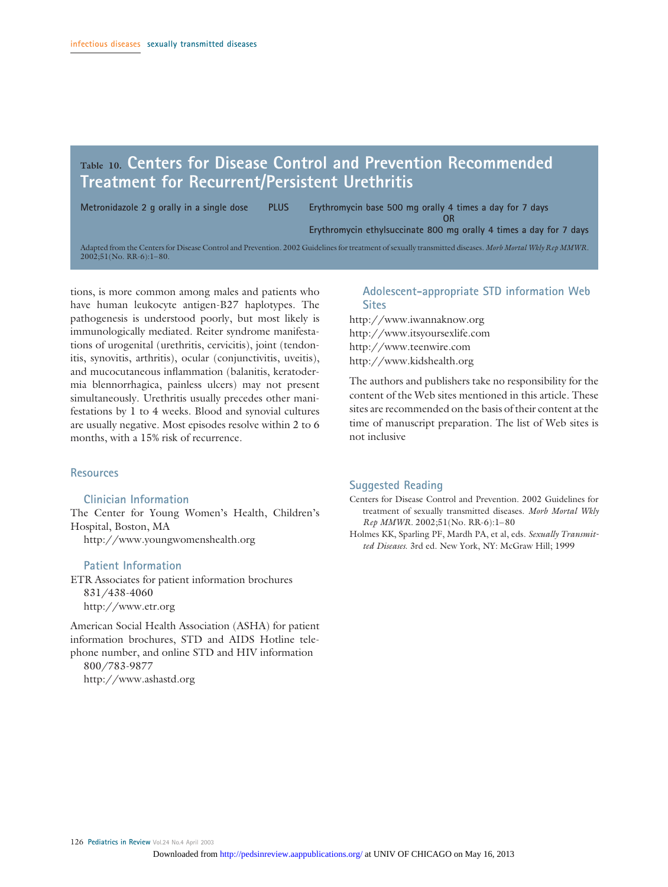## **Table 10. Centers for Disease Control and Prevention Recommended Treatment for Recurrent/Persistent Urethritis**

**Metronidazole 2 g orally in a single dose PLUS Erythromycin base 500 mg orally 4 times a day for 7 days OR**

**Erythromycin ethylsuccinate 800 mg orally 4 times a day for 7 days**

Adapted from the Centers for Disease Control and Prevention. 2002 Guidelines for treatment of sexually transmitted diseases. *Morb Mortal Wkly Rep MMWR.* 2002;51(No. RR-6):1–80.

tions, is more common among males and patients who have human leukocyte antigen-B27 haplotypes. The pathogenesis is understood poorly, but most likely is immunologically mediated. Reiter syndrome manifestations of urogenital (urethritis, cervicitis), joint (tendonitis, synovitis, arthritis), ocular (conjunctivitis, uveitis), and mucocutaneous inflammation (balanitis, keratodermia blennorrhagica, painless ulcers) may not present simultaneously. Urethritis usually precedes other manifestations by 1 to 4 weeks. Blood and synovial cultures are usually negative. Most episodes resolve within 2 to 6 months, with a 15% risk of recurrence.

#### **Resources**

#### **Clinician Information**

The Center for Young Women's Health, Children's Hospital, Boston, MA http://www.youngwomenshealth.org

#### **Patient Information**

ETR Associates for patient information brochures 831/438-4060 http://www.etr.org

American Social Health Association (ASHA) for patient information brochures, STD and AIDS Hotline telephone number, and online STD and HIV information 800/783-9877 http://www.ashastd.org

#### **Adolescent-appropriate STD information Web Sites**

http://www.iwannaknow.org http://www.itsyoursexlife.com http://www.teenwire.com http://www.kidshealth.org

The authors and publishers take no responsibility for the content of the Web sites mentioned in this article. These sites are recommended on the basis of their content at the time of manuscript preparation. The list of Web sites is not inclusive

#### **Suggested Reading**

- Centers for Disease Control and Prevention. 2002 Guidelines for treatment of sexually transmitted diseases. *Morb Mortal Wkly Rep MMWR.* 2002;51(No. RR-6):1–80
- Holmes KK, Sparling PF, Mardh PA, et al, eds. *Sexually Transmitted Diseases*. 3rd ed. New York, NY: McGraw Hill; 1999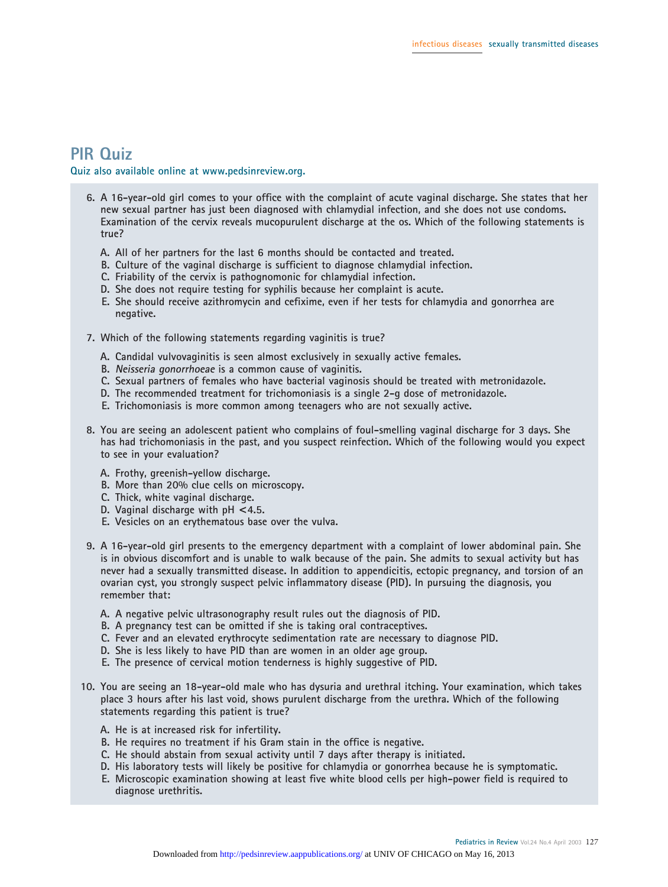### **PIR Quiz**

**Quiz also available online at www.pedsinreview.org.**

- **6. A 16-year-old girl comes to your office with the complaint of acute vaginal discharge. She states that her new sexual partner has just been diagnosed with chlamydial infection, and she does not use condoms. Examination of the cervix reveals mucopurulent discharge at the os. Which of the following statements is true?**
	- **A. All of her partners for the last 6 months should be contacted and treated.**
	- **B. Culture of the vaginal discharge is sufficient to diagnose chlamydial infection.**
	- **C. Friability of the cervix is pathognomonic for chlamydial infection.**
	- **D. She does not require testing for syphilis because her complaint is acute.**
	- **E. She should receive azithromycin and cefixime, even if her tests for chlamydia and gonorrhea are negative.**
- **7. Which of the following statements regarding vaginitis is true?**
	- **A. Candidal vulvovaginitis is seen almost exclusively in sexually active females.**
	- **B. Neisseria gonorrhoeae is a common cause of vaginitis.**
	- **C. Sexual partners of females who have bacterial vaginosis should be treated with metronidazole.**
	- **D. The recommended treatment for trichomoniasis is a single 2-g dose of metronidazole.**
	- **E. Trichomoniasis is more common among teenagers who are not sexually active.**
- **8. You are seeing an adolescent patient who complains of foul-smelling vaginal discharge for 3 days. She has had trichomoniasis in the past, and you suspect reinfection. Which of the following would you expect to see in your evaluation?**
	- **A. Frothy, greenish-yellow discharge.**
	- **B. More than 20% clue cells on microscopy.**
	- **C. Thick, white vaginal discharge.**
	- **D. Vaginal discharge with pH <4.5.**
	- **E. Vesicles on an erythematous base over the vulva.**
- **9. A 16-year-old girl presents to the emergency department with a complaint of lower abdominal pain. She is in obvious discomfort and is unable to walk because of the pain. She admits to sexual activity but has never had a sexually transmitted disease. In addition to appendicitis, ectopic pregnancy, and torsion of an ovarian cyst, you strongly suspect pelvic inflammatory disease (PID). In pursuing the diagnosis, you remember that:**
	- **A. A negative pelvic ultrasonography result rules out the diagnosis of PID.**
	- **B. A pregnancy test can be omitted if she is taking oral contraceptives.**
	- **C. Fever and an elevated erythrocyte sedimentation rate are necessary to diagnose PID.**
	- **D. She is less likely to have PID than are women in an older age group.**
	- **E. The presence of cervical motion tenderness is highly suggestive of PID.**
- **10. You are seeing an 18-year-old male who has dysuria and urethral itching. Your examination, which takes place 3 hours after his last void, shows purulent discharge from the urethra. Which of the following statements regarding this patient is true?**
	- **A. He is at increased risk for infertility.**
	- **B. He requires no treatment if his Gram stain in the office is negative.**
	- **C. He should abstain from sexual activity until 7 days after therapy is initiated.**
	- **D. His laboratory tests will likely be positive for chlamydia or gonorrhea because he is symptomatic.**
	- **E. Microscopic examination showing at least five white blood cells per high-power field is required to diagnose urethritis.**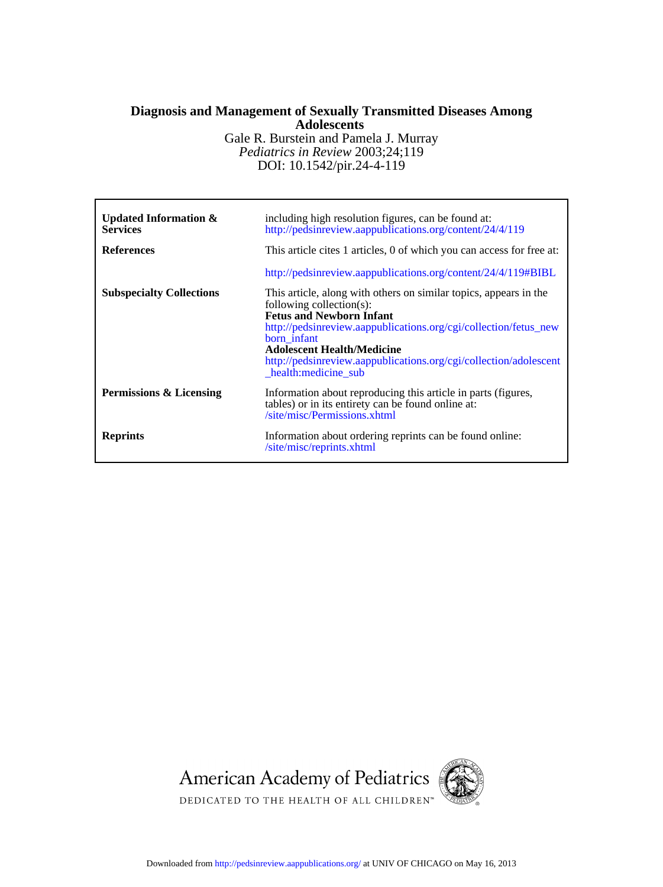#### Gale R. Burstein and Pamela J. Murray **Adolescents Diagnosis and Management of Sexually Transmitted Diseases Among**

DOI: 10.1542/pir.24-4-119 *Pediatrics in Review* 2003;24;119

| Updated Information $\&$<br><b>Services</b><br><b>References</b> | including high resolution figures, can be found at:<br>http://pedsinreview.aappublications.org/content/24/4/119<br>This article cites 1 articles, 0 of which you can access for free at:<br>http://pedsinreview.aappublications.org/content/24/4/119#BIBL                                                                                             |  |
|------------------------------------------------------------------|-------------------------------------------------------------------------------------------------------------------------------------------------------------------------------------------------------------------------------------------------------------------------------------------------------------------------------------------------------|--|
| <b>Subspecialty Collections</b>                                  | This article, along with others on similar topics, appears in the<br>following collection(s):<br><b>Fetus and Newborn Infant</b><br>http://pedsinreview.aappublications.org/cgi/collection/fetus_new<br>born infant<br><b>Adolescent Health/Medicine</b><br>http://pedsinreview.aappublications.org/cgi/collection/adolescent<br>health: medicine sub |  |
| Permissions & Licensing                                          | Information about reproducing this article in parts (figures,<br>tables) or in its entirety can be found online at:<br>/site/misc/Permissions.xhtml                                                                                                                                                                                                   |  |
| <b>Reprints</b>                                                  | Information about ordering reprints can be found online:<br>/site/misc/reprints.xhtml                                                                                                                                                                                                                                                                 |  |